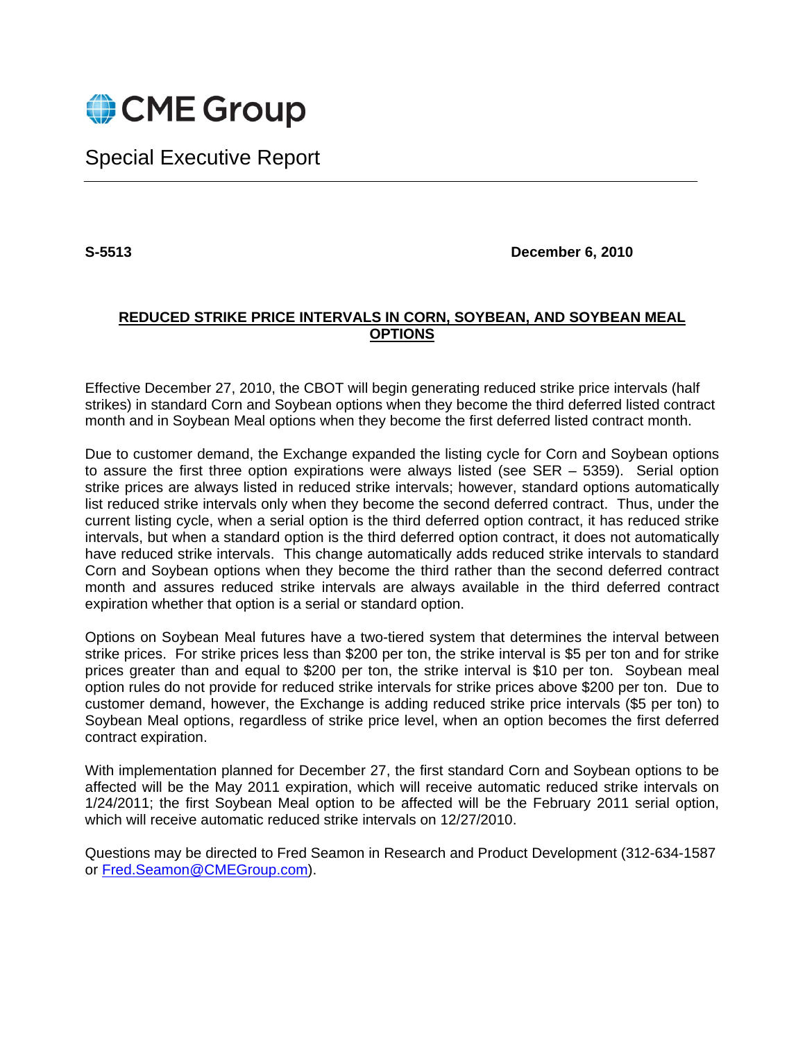

# Special Executive Report

**S-5513 December 6, 2010** 

## **REDUCED STRIKE PRICE INTERVALS IN CORN, SOYBEAN, AND SOYBEAN MEAL OPTIONS**

Effective December 27, 2010, the CBOT will begin generating reduced strike price intervals (half strikes) in standard Corn and Soybean options when they become the third deferred listed contract month and in Soybean Meal options when they become the first deferred listed contract month.

Due to customer demand, the Exchange expanded the listing cycle for Corn and Soybean options to assure the first three option expirations were always listed (see SER – 5359). Serial option strike prices are always listed in reduced strike intervals; however, standard options automatically list reduced strike intervals only when they become the second deferred contract. Thus, under the current listing cycle, when a serial option is the third deferred option contract, it has reduced strike intervals, but when a standard option is the third deferred option contract, it does not automatically have reduced strike intervals. This change automatically adds reduced strike intervals to standard Corn and Soybean options when they become the third rather than the second deferred contract month and assures reduced strike intervals are always available in the third deferred contract expiration whether that option is a serial or standard option.

Options on Soybean Meal futures have a two-tiered system that determines the interval between strike prices. For strike prices less than \$200 per ton, the strike interval is \$5 per ton and for strike prices greater than and equal to \$200 per ton, the strike interval is \$10 per ton. Soybean meal option rules do not provide for reduced strike intervals for strike prices above \$200 per ton. Due to customer demand, however, the Exchange is adding reduced strike price intervals (\$5 per ton) to Soybean Meal options, regardless of strike price level, when an option becomes the first deferred contract expiration.

With implementation planned for December 27, the first standard Corn and Soybean options to be affected will be the May 2011 expiration, which will receive automatic reduced strike intervals on 1/24/2011; the first Soybean Meal option to be affected will be the February 2011 serial option, which will receive automatic reduced strike intervals on 12/27/2010.

Questions may be directed to Fred Seamon in Research and Product Development (312-634-1587 or Fred.Seamon@CMEGroup.com).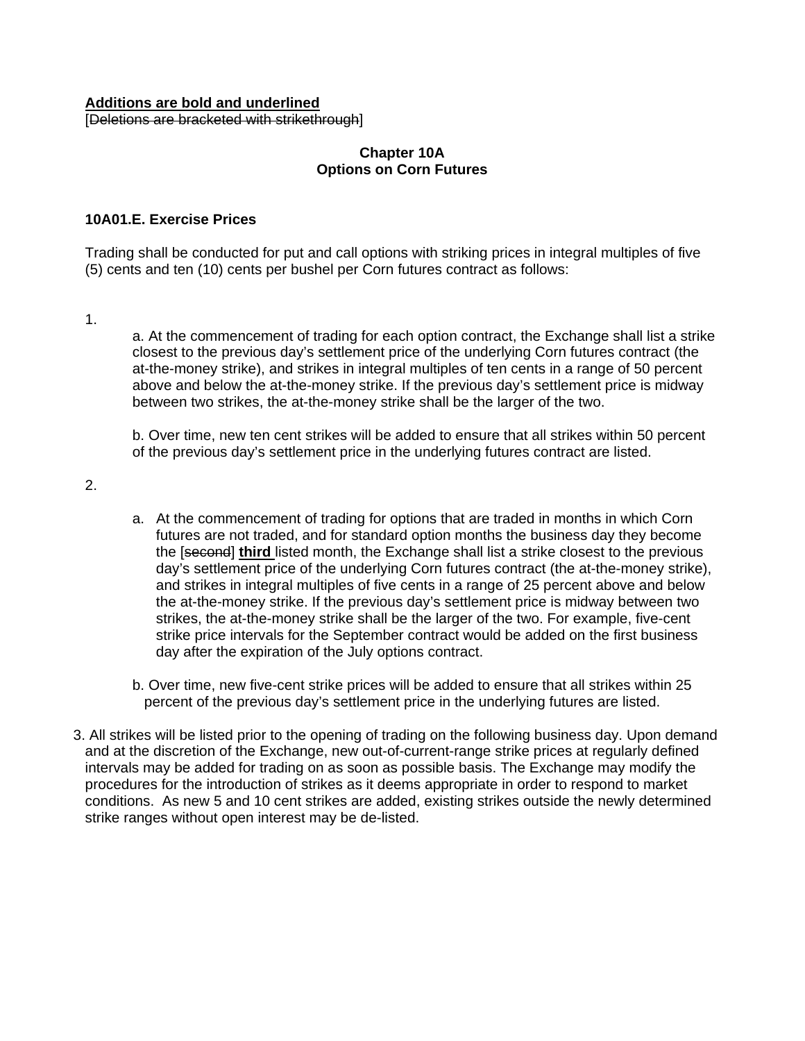#### **Additions are bold and underlined** [Deletions are bracketed with strikethrough]

### **Chapter 10A Options on Corn Futures**

### **10A01.E. Exercise Prices**

Trading shall be conducted for put and call options with striking prices in integral multiples of five (5) cents and ten (10) cents per bushel per Corn futures contract as follows:

1.

a. At the commencement of trading for each option contract, the Exchange shall list a strike closest to the previous day's settlement price of the underlying Corn futures contract (the at-the-money strike), and strikes in integral multiples of ten cents in a range of 50 percent above and below the at-the-money strike. If the previous day's settlement price is midway between two strikes, the at-the-money strike shall be the larger of the two.

b. Over time, new ten cent strikes will be added to ensure that all strikes within 50 percent of the previous day's settlement price in the underlying futures contract are listed.

2.

- a. At the commencement of trading for options that are traded in months in which Corn futures are not traded, and for standard option months the business day they become the [second] **third** listed month, the Exchange shall list a strike closest to the previous day's settlement price of the underlying Corn futures contract (the at-the-money strike), and strikes in integral multiples of five cents in a range of 25 percent above and below the at-the-money strike. If the previous day's settlement price is midway between two strikes, the at-the-money strike shall be the larger of the two. For example, five-cent strike price intervals for the September contract would be added on the first business day after the expiration of the July options contract.
- b. Over time, new five-cent strike prices will be added to ensure that all strikes within 25 percent of the previous day's settlement price in the underlying futures are listed.
- 3. All strikes will be listed prior to the opening of trading on the following business day. Upon demand and at the discretion of the Exchange, new out-of-current-range strike prices at regularly defined intervals may be added for trading on as soon as possible basis. The Exchange may modify the procedures for the introduction of strikes as it deems appropriate in order to respond to market conditions. As new 5 and 10 cent strikes are added, existing strikes outside the newly determined strike ranges without open interest may be de-listed.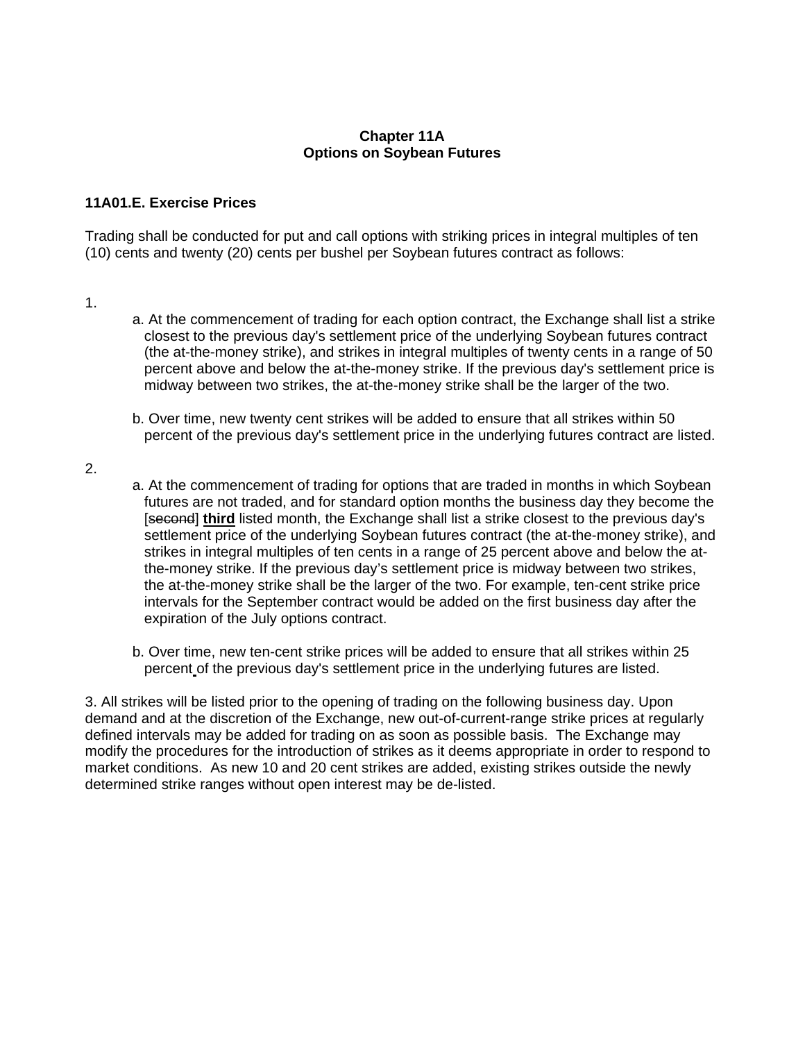#### **Chapter 11A Options on Soybean Futures**

### **11A01.E. Exercise Prices**

Trading shall be conducted for put and call options with striking prices in integral multiples of ten (10) cents and twenty (20) cents per bushel per Soybean futures contract as follows:

- 1.
- a. At the commencement of trading for each option contract, the Exchange shall list a strike closest to the previous day's settlement price of the underlying Soybean futures contract (the at-the-money strike), and strikes in integral multiples of twenty cents in a range of 50 percent above and below the at-the-money strike. If the previous day's settlement price is midway between two strikes, the at-the-money strike shall be the larger of the two.
- b. Over time, new twenty cent strikes will be added to ensure that all strikes within 50 percent of the previous day's settlement price in the underlying futures contract are listed.
- 2.
- a. At the commencement of trading for options that are traded in months in which Soybean futures are not traded, and for standard option months the business day they become the [second] **third** listed month, the Exchange shall list a strike closest to the previous day's settlement price of the underlying Soybean futures contract (the at-the-money strike), and strikes in integral multiples of ten cents in a range of 25 percent above and below the atthe-money strike. If the previous day's settlement price is midway between two strikes, the at-the-money strike shall be the larger of the two. For example, ten-cent strike price intervals for the September contract would be added on the first business day after the expiration of the July options contract.
- b. Over time, new ten-cent strike prices will be added to ensure that all strikes within 25 percent of the previous day's settlement price in the underlying futures are listed.

3. All strikes will be listed prior to the opening of trading on the following business day. Upon demand and at the discretion of the Exchange, new out-of-current-range strike prices at regularly defined intervals may be added for trading on as soon as possible basis. The Exchange may modify the procedures for the introduction of strikes as it deems appropriate in order to respond to market conditions. As new 10 and 20 cent strikes are added, existing strikes outside the newly determined strike ranges without open interest may be de-listed.